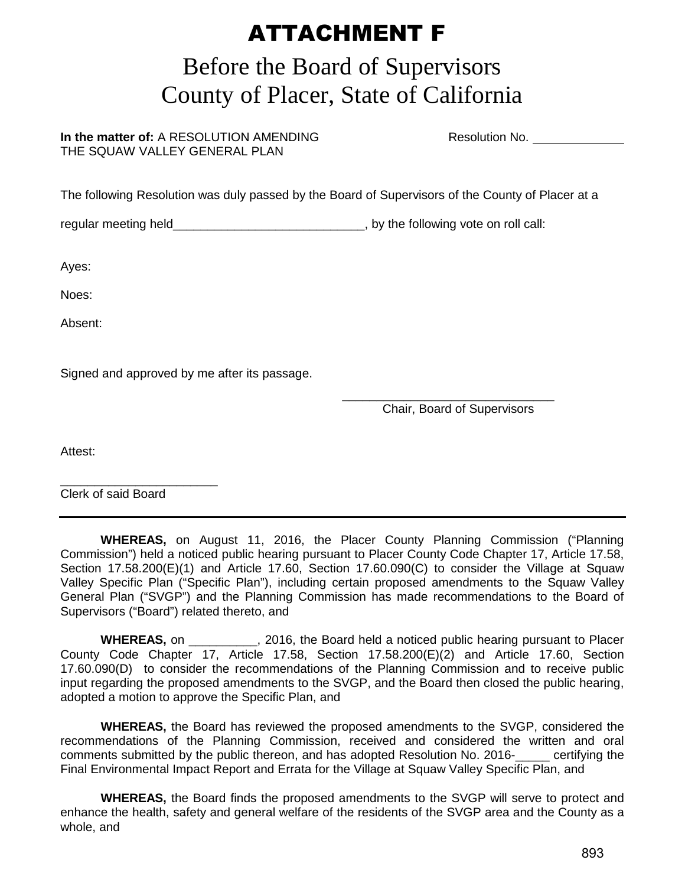## ATTACHMENT F

## Before the Board of Supervisors County of Placer, State of California

**In the matter of:** A RESOLUTION AMENDING **Resolution No.** Resolution No. THE SQUAW VALLEY GENERAL PLAN

The following Resolution was duly passed by the Board of Supervisors of the County of Placer at a

regular meeting held\_\_\_\_\_\_\_\_\_\_\_\_\_\_\_\_\_\_\_\_\_\_\_\_\_\_\_\_\_\_\_, by the following vote on roll call:

Ayes:

Noes:

Absent:

Signed and approved by me after its passage.

 $\overline{\phantom{a}}$  , and the contract of the contract of the contract of the contract of the contract of the contract of the contract of the contract of the contract of the contract of the contract of the contract of the contrac Chair, Board of Supervisors

Attest:

\_\_\_\_\_\_\_\_\_\_\_\_\_\_\_\_\_\_\_\_\_\_\_ Clerk of said Board

 **WHEREAS,** on August 11, 2016, the Placer County Planning Commission ("Planning Commission") held a noticed public hearing pursuant to Placer County Code Chapter 17, Article 17.58, Section 17.58.200(E)(1) and Article 17.60, Section 17.60.090(C) to consider the Village at Squaw Valley Specific Plan ("Specific Plan"), including certain proposed amendments to the Squaw Valley General Plan ("SVGP") and the Planning Commission has made recommendations to the Board of Supervisors ("Board") related thereto, and

**WHEREAS,** on **Netally 1.2016, the Board held a noticed public hearing pursuant to Placer** County Code Chapter 17, Article 17.58, Section 17.58.200(E)(2) and Article 17.60, Section 17.60.090(D) to consider the recommendations of the Planning Commission and to receive public input regarding the proposed amendments to the SVGP, and the Board then closed the public hearing, adopted a motion to approve the Specific Plan, and

 **WHEREAS,** the Board has reviewed the proposed amendments to the SVGP, considered the recommendations of the Planning Commission, received and considered the written and oral comments submitted by the public thereon, and has adopted Resolution No. 2016-\_\_\_\_\_ certifying the Final Environmental Impact Report and Errata for the Village at Squaw Valley Specific Plan, and

**WHEREAS,** the Board finds the proposed amendments to the SVGP will serve to protect and enhance the health, safety and general welfare of the residents of the SVGP area and the County as a whole, and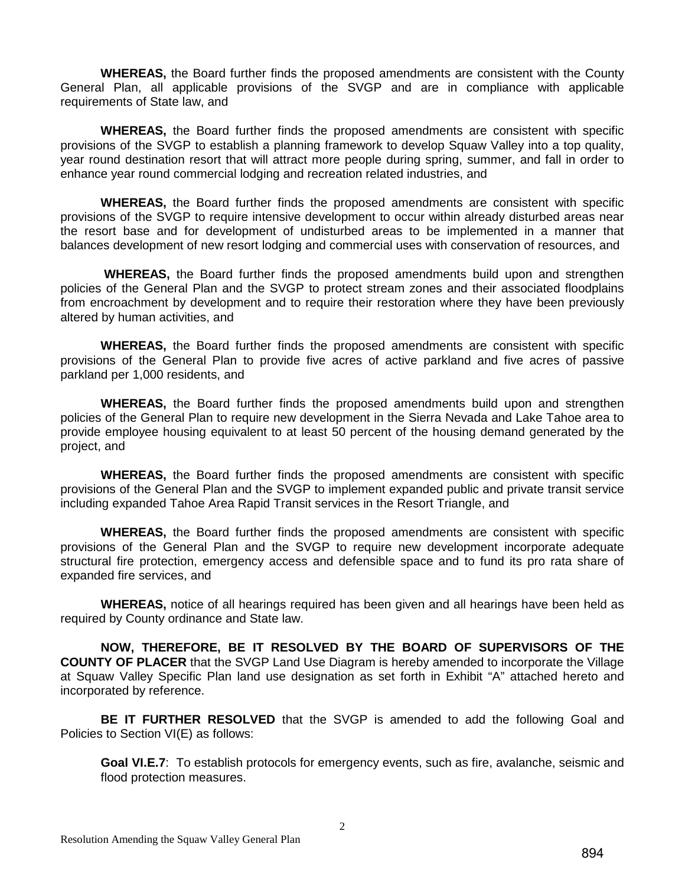**WHEREAS,** the Board further finds the proposed amendments are consistent with the County General Plan, all applicable provisions of the SVGP and are in compliance with applicable requirements of State law, and

**WHEREAS,** the Board further finds the proposed amendments are consistent with specific provisions of the SVGP to establish a planning framework to develop Squaw Valley into a top quality, year round destination resort that will attract more people during spring, summer, and fall in order to enhance year round commercial lodging and recreation related industries, and

**WHEREAS,** the Board further finds the proposed amendments are consistent with specific provisions of the SVGP to require intensive development to occur within already disturbed areas near the resort base and for development of undisturbed areas to be implemented in a manner that balances development of new resort lodging and commercial uses with conservation of resources, and

 **WHEREAS,** the Board further finds the proposed amendments build upon and strengthen policies of the General Plan and the SVGP to protect stream zones and their associated floodplains from encroachment by development and to require their restoration where they have been previously altered by human activities, and

**WHEREAS,** the Board further finds the proposed amendments are consistent with specific provisions of the General Plan to provide five acres of active parkland and five acres of passive parkland per 1,000 residents, and

**WHEREAS,** the Board further finds the proposed amendments build upon and strengthen policies of the General Plan to require new development in the Sierra Nevada and Lake Tahoe area to provide employee housing equivalent to at least 50 percent of the housing demand generated by the project, and

**WHEREAS,** the Board further finds the proposed amendments are consistent with specific provisions of the General Plan and the SVGP to implement expanded public and private transit service including expanded Tahoe Area Rapid Transit services in the Resort Triangle, and

**WHEREAS,** the Board further finds the proposed amendments are consistent with specific provisions of the General Plan and the SVGP to require new development incorporate adequate structural fire protection, emergency access and defensible space and to fund its pro rata share of expanded fire services, and

 **WHEREAS,** notice of all hearings required has been given and all hearings have been held as required by County ordinance and State law.

**NOW, THEREFORE, BE IT RESOLVED BY THE BOARD OF SUPERVISORS OF THE COUNTY OF PLACER** that the SVGP Land Use Diagram is hereby amended to incorporate the Village at Squaw Valley Specific Plan land use designation as set forth in Exhibit "A" attached hereto and incorporated by reference.

**BE IT FURTHER RESOLVED** that the SVGP is amended to add the following Goal and Policies to Section VI(E) as follows:

**Goal VI.E.7**: To establish protocols for emergency events, such as fire, avalanche, seismic and flood protection measures.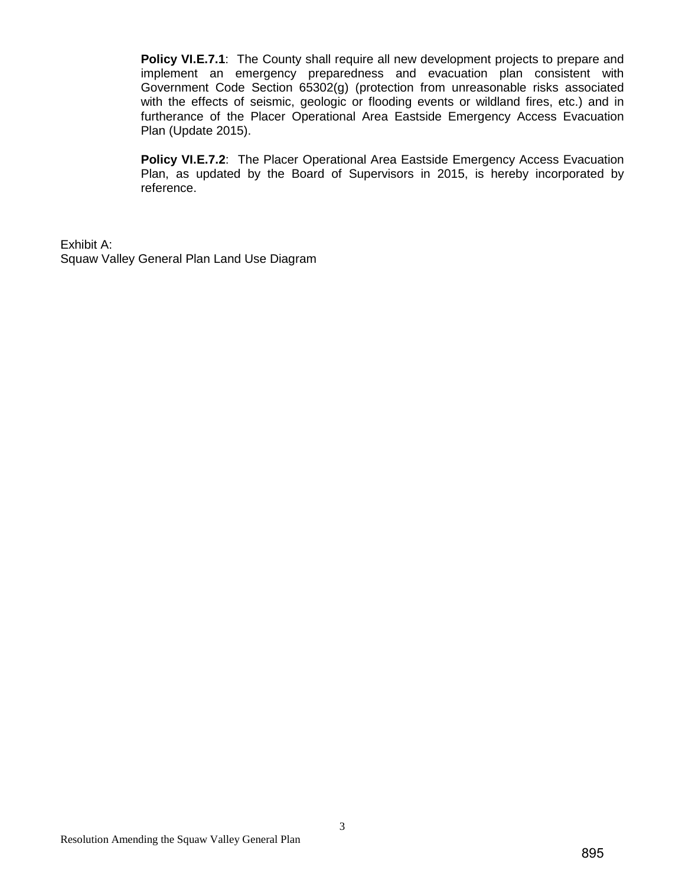**Policy VI.E.7.1:** The County shall require all new development projects to prepare and implement an emergency preparedness and evacuation plan consistent with Government Code Section 65302(g) (protection from unreasonable risks associated with the effects of seismic, geologic or flooding events or wildland fires, etc.) and in furtherance of the Placer Operational Area Eastside Emergency Access Evacuation Plan (Update 2015).

**Policy VI.E.7.2**: The Placer Operational Area Eastside Emergency Access Evacuation Plan, as updated by the Board of Supervisors in 2015, is hereby incorporated by reference.

Exhibit A: Squaw Valley General Plan Land Use Diagram